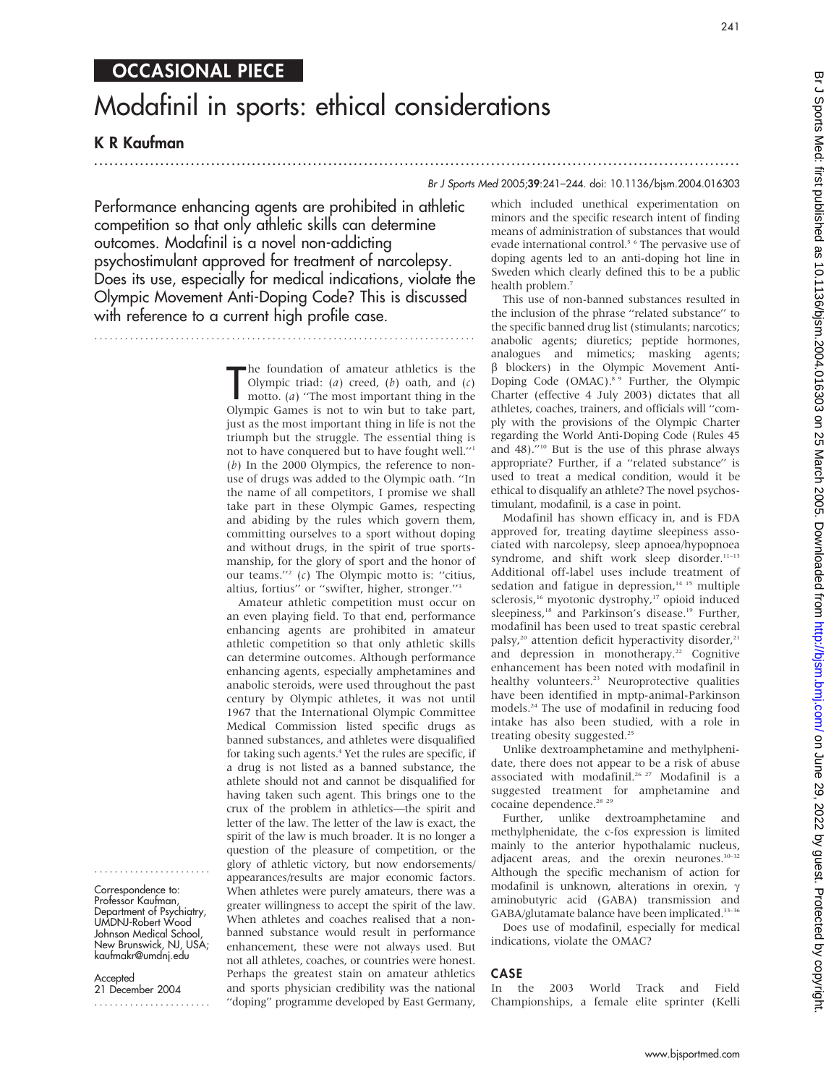# Modafinil in sports: ethical considerations

...............................................................................................................................

# K R Kaufman

....................... Correspondence to: Professor Kaufman, Department of Psychiatry, UMDNJ-Robert Wood Johnson Medical School, New Brunswick, NJ, USA; kaufmakr@umdnj.edu

**Accepted** 21 December 2004 .......................

Br J Sports Med 2005;39:241–244. doi: 10.1136/bjsm.2004.016303

Performance enhancing agents are prohibited in athletic competition so that only athletic skills can determine outcomes. Modafinil is a novel non-addicting psychostimulant approved for treatment of narcolepsy. Does its use, especially for medical indications, violate the Olympic Movement Anti-Doping Code? This is discussed with reference to a current high profile case.

...........................................................................

The foundation of amateur athletics is the Olympic triad: (*a*) creed, (*b*) oath, and (*c*) motto. (*a*) "The most important thing in the Olympic Games is not to win but to take part, he foundation of amateur athletics is the Olympic triad: (a) creed, (b) oath, and  $(c)$ motto. (a) ''The most important thing in the just as the most important thing in life is not the triumph but the struggle. The essential thing is not to have conquered but to have fought well.''1  $(b)$  In the 2000 Olympics, the reference to nonuse of drugs was added to the Olympic oath. ''In the name of all competitors, I promise we shall take part in these Olympic Games, respecting and abiding by the rules which govern them, committing ourselves to a sport without doping and without drugs, in the spirit of true sportsmanship, for the glory of sport and the honor of our teams."<sup>2</sup> (c) The Olympic motto is: "citius, altius, fortius'' or ''swifter, higher, stronger.''3

Amateur athletic competition must occur on an even playing field. To that end, performance enhancing agents are prohibited in amateur athletic competition so that only athletic skills can determine outcomes. Although performance enhancing agents, especially amphetamines and anabolic steroids, were used throughout the past century by Olympic athletes, it was not until 1967 that the International Olympic Committee Medical Commission listed specific drugs as banned substances, and athletes were disqualified for taking such agents.<sup>4</sup> Yet the rules are specific, if a drug is not listed as a banned substance, the athlete should not and cannot be disqualified for having taken such agent. This brings one to the crux of the problem in athletics—the spirit and letter of the law. The letter of the law is exact, the spirit of the law is much broader. It is no longer a question of the pleasure of competition, or the glory of athletic victory, but now endorsements/ appearances/results are major economic factors. When athletes were purely amateurs, there was a greater willingness to accept the spirit of the law. When athletes and coaches realised that a nonbanned substance would result in performance enhancement, these were not always used. But not all athletes, coaches, or countries were honest. Perhaps the greatest stain on amateur athletics and sports physician credibility was the national ''doping'' programme developed by East Germany, which included unethical experimentation on minors and the specific research intent of finding means of administration of substances that would evade international control.<sup>5</sup> <sup>6</sup> The pervasive use of doping agents led to an anti-doping hot line in Sweden which clearly defined this to be a public health problem.7

This use of non-banned substances resulted in the inclusion of the phrase ''related substance'' to the specific banned drug list (stimulants; narcotics; anabolic agents; diuretics; peptide hormones, analogues and mimetics; masking agents;  $\beta$  blockers) in the Olympic Movement Anti-Doping Code (OMAC).<sup>8</sup> <sup>9</sup> Further, the Olympic Charter (effective 4 July 2003) dictates that all athletes, coaches, trainers, and officials will ''comply with the provisions of the Olympic Charter regarding the World Anti-Doping Code (Rules 45 and 48).''10 But is the use of this phrase always appropriate? Further, if a ''related substance'' is used to treat a medical condition, would it be ethical to disqualify an athlete? The novel psychostimulant, modafinil, is a case in point.

Modafinil has shown efficacy in, and is FDA approved for, treating daytime sleepiness associated with narcolepsy, sleep apnoea/hypopnoea syndrome, and shift work sleep disorder.<sup>11-13</sup> Additional off-label uses include treatment of sedation and fatigue in depression, $14$  15 multiple sclerosis,<sup>16</sup> myotonic dystrophy,<sup>17</sup> opioid induced sleepiness,<sup>18</sup> and Parkinson's disease.<sup>19</sup> Further, modafinil has been used to treat spastic cerebral palsy,<sup>20</sup> attention deficit hyperactivity disorder,<sup>21</sup> and depression in monotherapy.<sup>22</sup> Cognitive enhancement has been noted with modafinil in healthy volunteers.<sup>23</sup> Neuroprotective qualities have been identified in mptp-animal-Parkinson models.24 The use of modafinil in reducing food intake has also been studied, with a role in treating obesity suggested.<sup>25</sup>

Unlike dextroamphetamine and methylphenidate, there does not appear to be a risk of abuse associated with modafinil.<sup>26 27</sup> Modafinil is a suggested treatment for amphetamine and cocaine dependence.<sup>28</sup> <sup>29</sup>

Further, unlike dextroamphetamine and methylphenidate, the c-fos expression is limited mainly to the anterior hypothalamic nucleus, adjacent areas, and the orexin neurones.<sup>30-32</sup> Although the specific mechanism of action for modafinil is unknown, alterations in orexin,  $\gamma$ aminobutyric acid (GABA) transmission and GABA/glutamate balance have been implicated.<sup>33-36</sup>

Does use of modafinil, especially for medical indications, violate the OMAC?

### CASE

In the 2003 World Track and Field Championships, a female elite sprinter (Kelli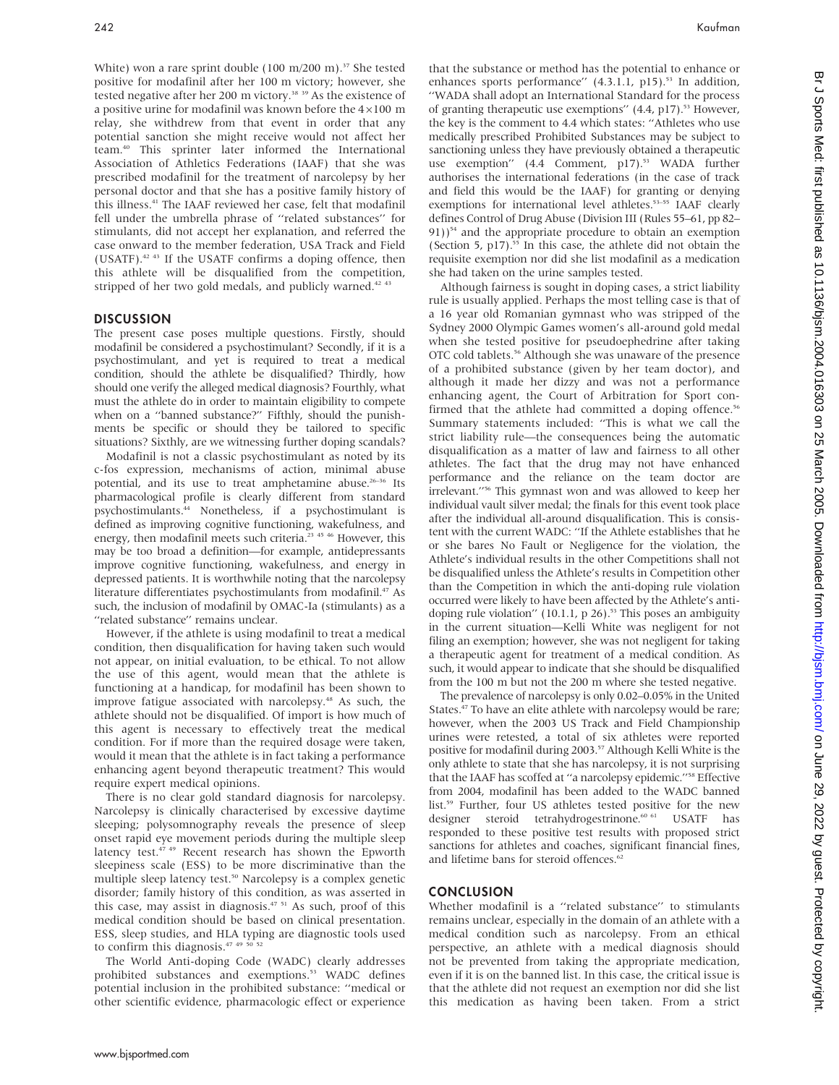White) won a rare sprint double (100 m/200 m).<sup>37</sup> She tested positive for modafinil after her 100 m victory; however, she tested negative after her 200 m victory.<sup>38</sup> <sup>39</sup> As the existence of a positive urine for modafinil was known before the  $4\times100$  m relay, she withdrew from that event in order that any potential sanction she might receive would not affect her team.40 This sprinter later informed the International Association of Athletics Federations (IAAF) that she was prescribed modafinil for the treatment of narcolepsy by her personal doctor and that she has a positive family history of this illness.<sup>41</sup> The IAAF reviewed her case, felt that modafinil fell under the umbrella phrase of ''related substances'' for stimulants, did not accept her explanation, and referred the case onward to the member federation, USA Track and Field (USATF).42 43 If the USATF confirms a doping offence, then this athlete will be disqualified from the competition, stripped of her two gold medals, and publicly warned.<sup>42 43</sup>

## **DISCUSSION**

The present case poses multiple questions. Firstly, should modafinil be considered a psychostimulant? Secondly, if it is a psychostimulant, and yet is required to treat a medical condition, should the athlete be disqualified? Thirdly, how should one verify the alleged medical diagnosis? Fourthly, what must the athlete do in order to maintain eligibility to compete when on a ''banned substance?'' Fifthly, should the punishments be specific or should they be tailored to specific situations? Sixthly, are we witnessing further doping scandals?

Modafinil is not a classic psychostimulant as noted by its c-fos expression, mechanisms of action, minimal abuse potential, and its use to treat amphetamine abuse.<sup>26-36</sup> Its pharmacological profile is clearly different from standard psychostimulants.44 Nonetheless, if a psychostimulant is defined as improving cognitive functioning, wakefulness, and energy, then modafinil meets such criteria.23 45 46 However, this may be too broad a definition—for example, antidepressants improve cognitive functioning, wakefulness, and energy in depressed patients. It is worthwhile noting that the narcolepsy literature differentiates psychostimulants from modafinil.<sup>47</sup> As such, the inclusion of modafinil by OMAC-Ia (stimulants) as a "related substance" remains unclear.

However, if the athlete is using modafinil to treat a medical condition, then disqualification for having taken such would not appear, on initial evaluation, to be ethical. To not allow the use of this agent, would mean that the athlete is functioning at a handicap, for modafinil has been shown to improve fatigue associated with narcolepsy.<sup>48</sup> As such, the athlete should not be disqualified. Of import is how much of this agent is necessary to effectively treat the medical condition. For if more than the required dosage were taken, would it mean that the athlete is in fact taking a performance enhancing agent beyond therapeutic treatment? This would require expert medical opinions.

There is no clear gold standard diagnosis for narcolepsy. Narcolepsy is clinically characterised by excessive daytime sleeping; polysomnography reveals the presence of sleep onset rapid eye movement periods during the multiple sleep latency test.<sup>47 49</sup> Recent research has shown the Epworth sleepiness scale (ESS) to be more discriminative than the multiple sleep latency test.<sup>50</sup> Narcolepsy is a complex genetic disorder; family history of this condition, as was asserted in this case, may assist in diagnosis.<sup>47 51</sup> As such, proof of this medical condition should be based on clinical presentation. ESS, sleep studies, and HLA typing are diagnostic tools used to confirm this diagnosis.<sup>47</sup> <sup>49</sup> <sup>50</sup> <sup>52</sup>

The World Anti-doping Code (WADC) clearly addresses prohibited substances and exemptions.<sup>53</sup> WADC defines potential inclusion in the prohibited substance: ''medical or other scientific evidence, pharmacologic effect or experience that the substance or method has the potential to enhance or enhances sports performance" (4.3.1.1, p15).<sup>53</sup> In addition, ''WADA shall adopt an International Standard for the process of granting therapeutic use exemptions"  $(4.4, p17)$ .<sup>53</sup> However, the key is the comment to 4.4 which states: ''Athletes who use medically prescribed Prohibited Substances may be subject to sanctioning unless they have previously obtained a therapeutic use exemption" (4.4 Comment, p17).<sup>53</sup> WADA further authorises the international federations (in the case of track and field this would be the IAAF) for granting or denying exemptions for international level athletes.<sup>53-55</sup> IAAF clearly defines Control of Drug Abuse (Division III (Rules 55–61, pp 82–  $91)$ <sup>54</sup> and the appropriate procedure to obtain an exemption (Section 5,  $p17$ ).<sup>55</sup> In this case, the athlete did not obtain the requisite exemption nor did she list modafinil as a medication she had taken on the urine samples tested.

Although fairness is sought in doping cases, a strict liability rule is usually applied. Perhaps the most telling case is that of a 16 year old Romanian gymnast who was stripped of the Sydney 2000 Olympic Games women's all-around gold medal when she tested positive for pseudoephedrine after taking OTC cold tablets.56 Although she was unaware of the presence of a prohibited substance (given by her team doctor), and although it made her dizzy and was not a performance enhancing agent, the Court of Arbitration for Sport confirmed that the athlete had committed a doping offence.<sup>56</sup> Summary statements included: ''This is what we call the strict liability rule—the consequences being the automatic disqualification as a matter of law and fairness to all other athletes. The fact that the drug may not have enhanced performance and the reliance on the team doctor are irrelevant.''56 This gymnast won and was allowed to keep her individual vault silver medal; the finals for this event took place after the individual all-around disqualification. This is consistent with the current WADC: ''If the Athlete establishes that he or she bares No Fault or Negligence for the violation, the Athlete's individual results in the other Competitions shall not be disqualified unless the Athlete's results in Competition other than the Competition in which the anti-doping rule violation occurred were likely to have been affected by the Athlete's antidoping rule violation" (10.1.1,  $p$  26).<sup>53</sup> This poses an ambiguity in the current situation—Kelli White was negligent for not filing an exemption; however, she was not negligent for taking a therapeutic agent for treatment of a medical condition. As such, it would appear to indicate that she should be disqualified from the 100 m but not the 200 m where she tested negative.

The prevalence of narcolepsy is only 0.02–0.05% in the United States.<sup>47</sup> To have an elite athlete with narcolepsy would be rare; however, when the 2003 US Track and Field Championship urines were retested, a total of six athletes were reported positive for modafinil during 2003.<sup>57</sup> Although Kelli White is the only athlete to state that she has narcolepsy, it is not surprising that the IAAF has scoffed at ''a narcolepsy epidemic.''58 Effective from 2004, modafinil has been added to the WADC banned list.59 Further, four US athletes tested positive for the new designer steroid tetrahydrogestrinone.<br>60 61 USATF has responded to these positive test results with proposed strict sanctions for athletes and coaches, significant financial fines, and lifetime bans for steroid offences.<sup>62</sup>

# **CONCLUSION**

Whether modafinil is a ''related substance'' to stimulants remains unclear, especially in the domain of an athlete with a medical condition such as narcolepsy. From an ethical perspective, an athlete with a medical diagnosis should not be prevented from taking the appropriate medication, even if it is on the banned list. In this case, the critical issue is that the athlete did not request an exemption nor did she list this medication as having been taken. From a strict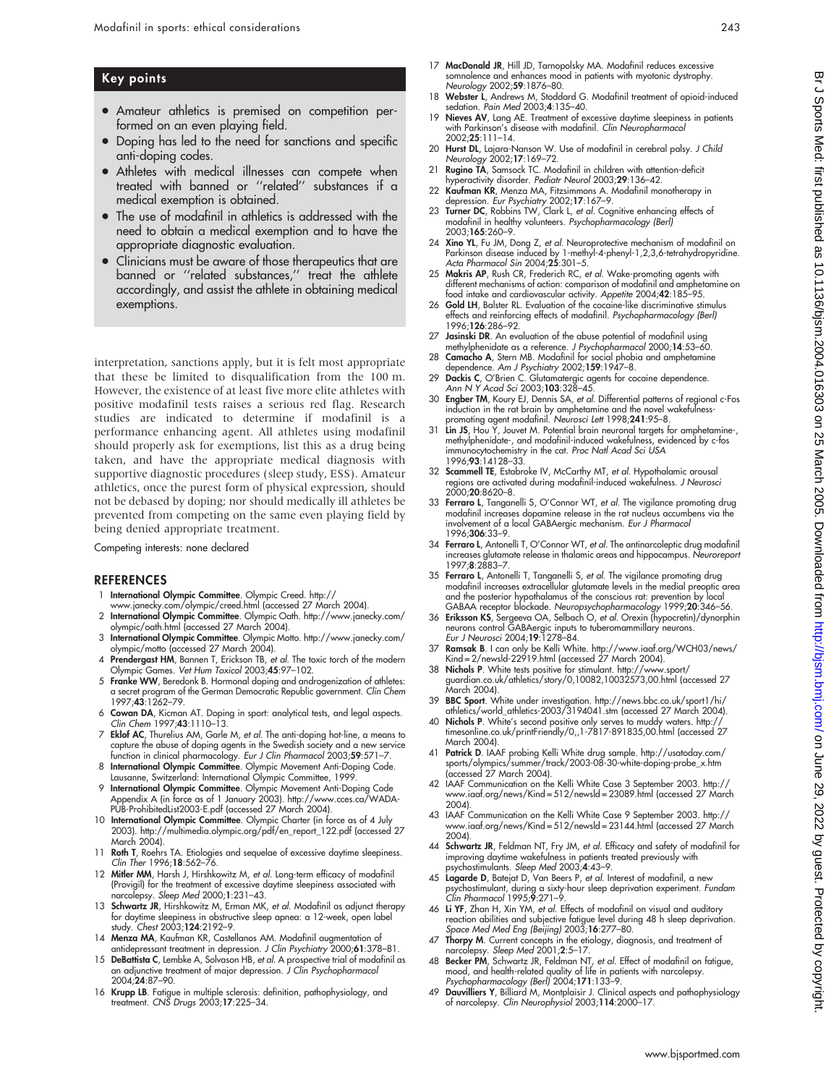# Key points

- Amateur athletics is premised on competition performed on an even playing field.
- Doping has led to the need for sanctions and specific anti-doping codes.
- Athletes with medical illnesses can compete when treated with banned or ''related'' substances if a medical exemption is obtained.
- The use of modafinil in athletics is addressed with the need to obtain a medical exemption and to have the appropriate diagnostic evaluation.
- Clinicians must be aware of those therapeutics that are banned or ''related substances,'' treat the athlete accordingly, and assist the athlete in obtaining medical exemptions.

interpretation, sanctions apply, but it is felt most appropriate that these be limited to disqualification from the 100 m. However, the existence of at least five more elite athletes with positive modafinil tests raises a serious red flag. Research studies are indicated to determine if modafinil is a performance enhancing agent. All athletes using modafinil should properly ask for exemptions, list this as a drug being taken, and have the appropriate medical diagnosis with supportive diagnostic procedures (sleep study, ESS). Amateur athletics, once the purest form of physical expression, should not be debased by doping; nor should medically ill athletes be prevented from competing on the same even playing field by being denied appropriate treatment.

Competing interests: none declared

### **REFERENCES**

- 1 International Olympic Committee. Olympic Creed. http:// www.janecky.com/olympic/creed.html (accessed 27 March 2004).
- 2 International Olympic Committee. Olympic Oath. http://www.janecky.com/ olympic/oath.html (accessed 27 March 2004).
- 3 International Olympic Committee. Olympic Motto. http://www.janecky.com/
- olympic/motto (accessed 27 March 2004).<br>4 Prendergast HM, Bannen T, Erickson TB, *et al.* The toxic torch of the modern<br>Olympic Games. *Vet Hum Toxicol 2*003;4**5**:97–102.
- 5 Franke WW, Beredonk B. Hormonal doping and androgenization of athletes: a secret program of the German Democratic Republic government. Clin Chem 1997;43:1262–79.
- 6 Cowan DA, Kicman AT. Doping in sport: analytical tests, and legal aspects. Clin Chem 1997;43:1110–13.
- 7 Eklof AC, Thurelius AM, Garle M, et al. The anti-doping hot-line, a means to capture the abuse of doping agents in the Swedish society and a new service<br>function in clinical pharmacology. *Eur J Clin Pharmacol* 2003;**59**:571–7.
- 8 International Olympic Committee. Olympic Movement Anti-Doping Code. Lausanne, Switzerland: International Olympic Committee, 1999.
- 9 International Olympic Committee. Olympic Movement Anti-Doping Code Appendix A (in force as of 1 January 2003). http://www.cces.ca/WADA-PUB-ProhibitedList2003-E.pdf (accessed 27 March 2004).
- 10 International Olympic Committee. Olympic Charter (in force as of 4 July 2003). http://multimedia.olympic.org/pdf/en\_report\_122.pdf (accessed 27 March 2004).
- 11 Roth T, Roehrs TA. Etiologies and sequelae of excessive daytime sleepiness. Clin Ther 1996;18:562–76.
- 12 Mitler MM, Harsh J, Hirshkowitz M, et al. Long-term efficacy of modafinil (Provigil) for the treatment of excessive daytime sleepiness associated with narcolepsy. Sleep Med 2000;1:231–43.
- 13 Schwartz JR, Hirshkowitz M, Erman MK, et al. Modafinil as adjunct therapy for daytime sleepiness in obstructive sleep apnea: a 12-week, open label study. Chest 2003;124:2192–9.
- 14 Menza MA, Kaufman KR, Castellanos AM. Modafinil augmentation of<br>15 antidepressant treatment in depression. J Clin Psychiatry 2000;61:378–81.<br>15 DeBattista C, Lembke A, Solvason HB, *et al.* A prospective trial of modafi
- an adjunctive treatment of major depression. *J Clin Psychopharmacol*<br>2004;**24**:87–90.
- 16 Krupp LB. Fatigue in multiple sclerosis: definition, pathophysiology, and treatment. CNS Drugs 2003;17:225–34.
- 17 MacDonald JR, Hill JD, Tarnopolsky MA. Modafinil reduces excessive somnolence and enhances mood in patients with myotonic dystrophy. Neurology 2002;59:1876-80.
- 18 Webster L, Andrews M, Stoddard G. Modafinil treatment of opioid-induced sedation. Pain Med 2003;4:135–40.
- 19 Nieves AV, Lang AE. Treatment of excessive daytime sleepiness in patients with Parkinson's disease with modafinil. Clin Neuropharmacol 2002;25:111–14.
- 20 Hurst DL, Lajara-Nanson W. Use of modafinil in cerebral palsy. J Child Neurology 2002;17:169–72.
- 21 Rugino TA, Samsock TC. Modafinil in children with attention-deficit hyperactivity disorder. Pediatr Neurol 2003;29:136–42.
- 22 Kaufman KR, Menza MA, Fitzsimmons A. Modafinil monotherapy in
- depression. *Eur Psychiatry* 2002;17:167–9.<br>23 Turner DC, Robbins TW, Clark L, *et al.* Cognitive enhancing effects of<br>modafinil in healthy volunteers. *Psychopharmacology (Berl)* 2003;165:260–9.
- 24 Xino YL, Fu JM, Dong Z, et al. Neuroprotective mechanism of modafinil on Parkinson disease induced by 1-methyl-4-phenyl-1,2,3,6-tetrahydropyridine. Acta Pharmacol Sin 2004;25:301–5.
- 25 Makris AP, Rush CR, Frederich RC, et al. Wake-promoting agents with different mechanisms of action: comparison of modafinil and amphetamine on food intake and cardiovascular activity. Appetite 2004;42:185–95.
- 26 Gold LH, Balster RL. Evaluation of the cocaine-like discriminative stimulus effects and reinforcing effects of modafinil. Psychopharmacology (Berl) 1996;126:286–92.
- 27 Jasinski DR. An evaluation of the abuse potential of modafinil using methylphenidate as a reference. J Psychopharmacol 2000;14:53–60.
- 28 Camacho A, Stern MB. Modafinil for social phobia and amphetamine dependence. Am J Psychiatry 2002;159:1947–8.
- 29 Dackis C, O'Brien C. Glutamatergic agents for cocaine dependence. Ann N Y Acad Sci 2003;103:328–45.
- 30 Engber TM, Koury EJ, Dennis SA, et al. Differential patterns of regional c-Fos induction in the rat brain by amphetamine and the novel wakefulness-<br>promoting agent modafinil. Neurosci Lett 1998;**241**:95–8.<br>31 L**in JS**, Hou Y, Jouvet M. Potential brain neuronal targets for amphetamine-,
- methylphenidate-, and modafinil-induced wakefulness, evidenced by c-fos immunocytochemistry in the cat. Proc Natl Acad Sci USA 1996;93:14128–33.
- 32 Scammell TE, Estabroke IV, McCarthy MT, et al. Hypothalamic arousal regions are activated during modafinil-induced wakefulness. J Neurosci 2000;20:8620–8.
- 33 Ferraro L, Tanganelli S, O'Connor WT, et al. The vigilance promoting drug modafinil increases dopamine release in the rat nucleus accumbens via the involvement of a local GABAergic mechanism. Eur J Pharmacol 1996;306:33–9.
- 34 Ferraro L, Antonelli T, O'Connor WT, et al. The antinarcoleptic drug modafinil increases glutamate release in thalamic areas and hippocampus. Neuroreport 1997;8:2883–7.
- 35 **Ferraro L**, Antonelli T, Tanganelli S, *et al.* The vigilance promoting drug<br>modafinil increases extracellular glutamate levels in the medial preoptic area<br>and the posterior hypothalamus of the conscious rat: preventio GABAA receptor blockade. Neuropsychopharmacology 1999;20:346-56.
- 36 Eriksson KS, Sergeeva OA, Selbach O, et al. Orexin (hypocretin)/dynorphin neurons control GABAergic inputs to tuberomammillary neurons. Eur J Neurosci 2004;19:1278–84.
- 37 **Ramsak B**. I can only be Kelli White. http://www.iaaf.org/WCH03/news/<br>Kind=2/newsld-22919.html (accessed 27 March 2004).<br>38 **Nichols P**. White tests positive for stimulant. http://www.sport/
- guardian.co.uk/athletics/story/0,10082,10032573,00.html (accessed 27 March 2004).
- 39 BBC Sport. White under investigation. http://news.bbc.co.uk/sport1/hi/ athletics/world\_athletics-2003/3194041.stm (accessed 27 March 2004).
- 40 Nichols P. White's second positive only serves to muddy waters. http:// timesonline.co.uk/printFriendly/0,,1-7817-891835,00.html (accessed 27 March 2004).
- 41 Patrick D. IAAF probing Kelli White drug sample. http://usatoday.com/ sports/olympics/summer/track/2003-08-30-white-doping-probe\_x.htm (accessed 27 March 2004).
- 42 IAAF Communication on the Kelli White Case 3 September 2003. http:// www.iaaf.org/news/Kind = 512/newsld = 23089.html (accessed 27 March 2004)
- 43 IAAF Communication on the Kelli White Case 9 September 2003. http:// www.iaaf.org/news/Kind = 512/newsld = 23144.html (accessed 27 March 2004).
- 44 Schwartz JR, Feldman NT, Fry JM, et al. Efficacy and safety of modafinil for improving daytime wakefulness in patients treated previously with psychostimulants. Sleep Med 2003;4:43–9.
- 45 Lagarde D, Batejat D, Van Beers P, et al. Interest of modafinil, a new psychostimulant, during a sixty-hour sleep deprivation experiment. *Fundam*<br>Clin Pharmacol 1995;**9**:271–9.
- 46 Li YF, Zhan H, Xin YM, et al. Effects of modafinil on visual and auditory reaction abilities and subjective fatigue level during 48 h sleep deprivation. Space Med Med Eng (Beijing) 2003;16:277–80.
- 47 Thorpy M. Current concepts in the etiology, diagnosis, and treatment of narcolepsy. Sleep Med 2001;2:5–17.
- 48 Becker PM, Schwartz JR, Feldman NT, et al. Effect of modafinil on fatigue,
- mood, and health-related quality of lite in patients with narcolepsy.<br>Psychopharmacology (Berl) 2004;171:133–9.<br>**149 Dauvilliers Y**, Billiard M, Montplaisir J. Clinical aspects and pathophysiology<br>of narcolepsy. Clin Neuro